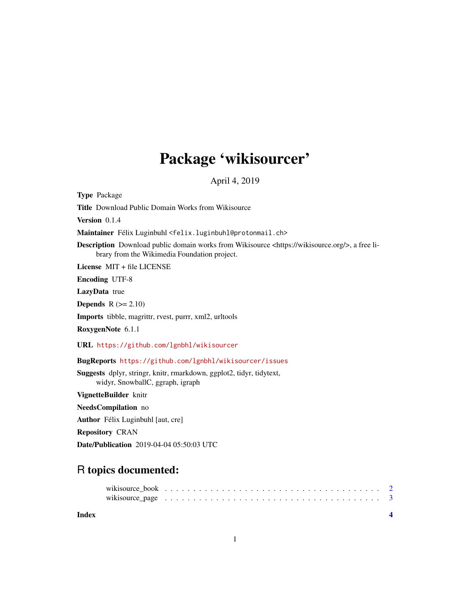## Package 'wikisourcer'

April 4, 2019

Type Package

Title Download Public Domain Works from Wikisource

Version 0.1.4

Maintainer Félix Luginbuhl <felix.luginbuhl@protonmail.ch>

Description Download public domain works from Wikisource <https://wikisource.org/>, a free library from the Wikimedia Foundation project.

License MIT + file LICENSE

Encoding UTF-8

LazyData true

**Depends**  $R$  ( $>= 2.10$ )

Imports tibble, magrittr, rvest, purrr, xml2, urltools

RoxygenNote 6.1.1

URL <https://github.com/lgnbhl/wikisourcer>

BugReports <https://github.com/lgnbhl/wikisourcer/issues>

Suggests dplyr, stringr, knitr, rmarkdown, ggplot2, tidyr, tidytext, widyr, SnowballC, ggraph, igraph

VignetteBuilder knitr

NeedsCompilation no

Author Félix Luginbuhl [aut, cre]

Repository CRAN

Date/Publication 2019-04-04 05:50:03 UTC

### R topics documented:

| wikisource_page $\dots \dots \dots \dots \dots \dots \dots \dots \dots \dots \dots \dots \dots \dots \dots \dots$ |  |  |  |  |  |  |  |  |  |  |  |  |  |  |  |  |  |  |  |
|-------------------------------------------------------------------------------------------------------------------|--|--|--|--|--|--|--|--|--|--|--|--|--|--|--|--|--|--|--|

**Index** [4](#page-3-0)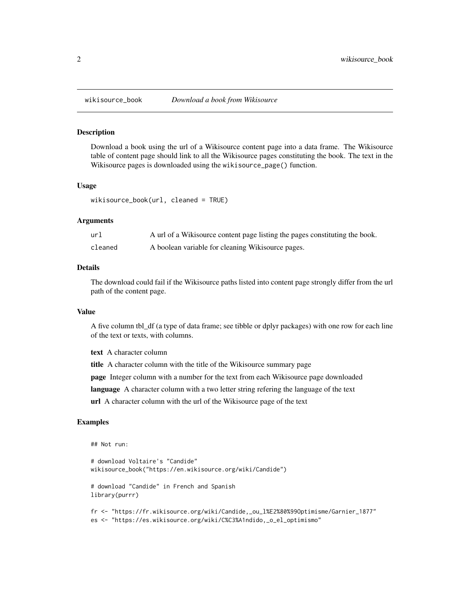<span id="page-1-0"></span>

#### Description

Download a book using the url of a Wikisource content page into a data frame. The Wikisource table of content page should link to all the Wikisource pages constituting the book. The text in the Wikisource pages is downloaded using the wikisource\_page() function.

#### Usage

```
wikisource_book(url, cleaned = TRUE)
```
#### Arguments

| url     | A url of a Wikisource content page listing the pages constituting the book. |
|---------|-----------------------------------------------------------------------------|
| cleaned | A boolean variable for cleaning Wikisource pages.                           |

#### Details

The download could fail if the Wikisource paths listed into content page strongly differ from the url path of the content page.

#### Value

A five column tbl\_df (a type of data frame; see tibble or dplyr packages) with one row for each line of the text or texts, with columns.

text A character column

title A character column with the title of the Wikisource summary page

page Integer column with a number for the text from each Wikisource page downloaded

language A character column with a two letter string refering the language of the text

url A character column with the url of the Wikisource page of the text

#### Examples

## Not run:

```
# download Voltaire's "Candide"
wikisource_book("https://en.wikisource.org/wiki/Candide")
# download "Candide" in French and Spanish
library(purrr)
fr <- "https://fr.wikisource.org/wiki/Candide,_ou_l%E2%80%99Optimisme/Garnier_1877"
es <- "https://es.wikisource.org/wiki/C%C3%A1ndido,_o_el_optimismo"
```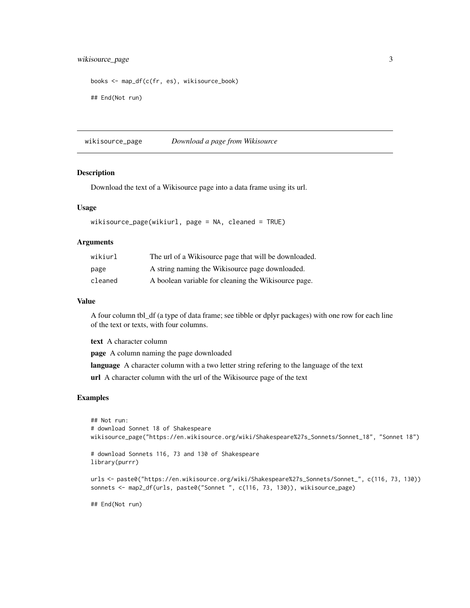#### <span id="page-2-0"></span>wikisource\_page 3

```
books <- map_df(c(fr, es), wikisource_book)
## End(Not run)
```
wikisource\_page *Download a page from Wikisource*

#### Description

Download the text of a Wikisource page into a data frame using its url.

#### Usage

```
wikisource_page(wikiurl, page = NA, cleaned = TRUE)
```
#### Arguments

| wikiurl | The url of a Wikisource page that will be downloaded. |
|---------|-------------------------------------------------------|
| page    | A string naming the Wikisource page downloaded.       |
| cleaned | A boolean variable for cleaning the Wikisource page.  |

#### Value

A four column tbl\_df (a type of data frame; see tibble or dplyr packages) with one row for each line of the text or texts, with four columns.

text A character column

page A column naming the page downloaded

language A character column with a two letter string refering to the language of the text

url A character column with the url of the Wikisource page of the text

#### Examples

```
## Not run:
# download Sonnet 18 of Shakespeare
wikisource_page("https://en.wikisource.org/wiki/Shakespeare%27s_Sonnets/Sonnet_18", "Sonnet 18")
# download Sonnets 116, 73 and 130 of Shakespeare
library(purrr)
urls <- paste0("https://en.wikisource.org/wiki/Shakespeare%27s_Sonnets/Sonnet_", c(116, 73, 130))
sonnets <- map2_df(urls, paste0("Sonnet ", c(116, 73, 130)), wikisource_page)
## End(Not run)
```